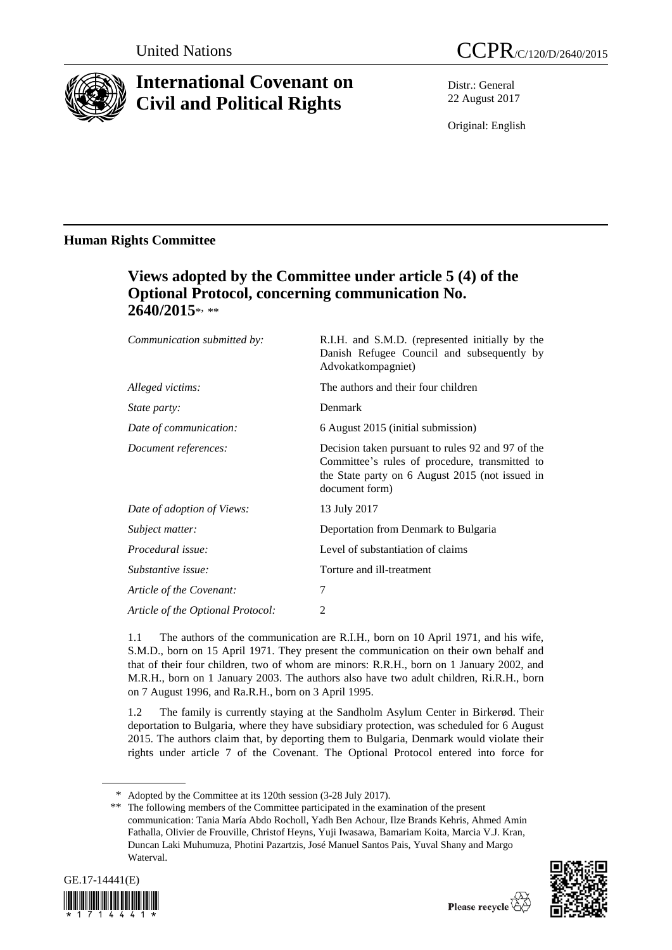

# **International Covenant on Civil and Political Rights**

Distr.: General 22 August 2017

Original: English

### **Human Rights Committee**

## **Views adopted by the Committee under article 5 (4) of the Optional Protocol, concerning communication No. 2640/2015**\* , \*\*

| Communication submitted by:       | R.I.H. and S.M.D. (represented initially by the<br>Danish Refugee Council and subsequently by<br>Advokatkompagniet)                                                      |
|-----------------------------------|--------------------------------------------------------------------------------------------------------------------------------------------------------------------------|
| Alleged victims:                  | The authors and their four children                                                                                                                                      |
| <i>State party:</i>               | Denmark                                                                                                                                                                  |
| Date of communication:            | 6 August 2015 (initial submission)                                                                                                                                       |
| Document references:              | Decision taken pursuant to rules 92 and 97 of the<br>Committee's rules of procedure, transmitted to<br>the State party on 6 August 2015 (not issued in<br>document form) |
| Date of adoption of Views:        | 13 July 2017                                                                                                                                                             |
| Subject matter:                   | Deportation from Denmark to Bulgaria                                                                                                                                     |
| Procedural issue:                 | Level of substantiation of claims                                                                                                                                        |
| Substantive issue:                | Torture and ill-treatment                                                                                                                                                |
| Article of the Covenant:          | 7                                                                                                                                                                        |
| Article of the Optional Protocol: | 2                                                                                                                                                                        |

1.1 The authors of the communication are R.I.H., born on 10 April 1971, and his wife, S.M.D., born on 15 April 1971. They present the communication on their own behalf and that of their four children, two of whom are minors: R.R.H., born on 1 January 2002, and M.R.H., born on 1 January 2003. The authors also have two adult children, Ri.R.H., born on 7 August 1996, and Ra.R.H., born on 3 April 1995.

1.2 The family is currently staying at the Sandholm Asylum Center in Birkerød. Their deportation to Bulgaria, where they have subsidiary protection, was scheduled for 6 August 2015. The authors claim that, by deporting them to Bulgaria, Denmark would violate their rights under article 7 of the Covenant. The Optional Protocol entered into force for

<sup>\*\*</sup> The following members of the Committee participated in the examination of the present communication: Tania María Abdo Rocholl, Yadh Ben Achour, Ilze Brands Kehris, Ahmed Amin Fathalla, Olivier de Frouville, Christof Heyns, Yuji Iwasawa, Bamariam Koita, Marcia V.J. Kran, Duncan Laki Muhumuza, Photini Pazartzis, José Manuel Santos Pais, Yuval Shany and Margo Waterval.





<sup>\*</sup> Adopted by the Committee at its 120th session (3-28 July 2017).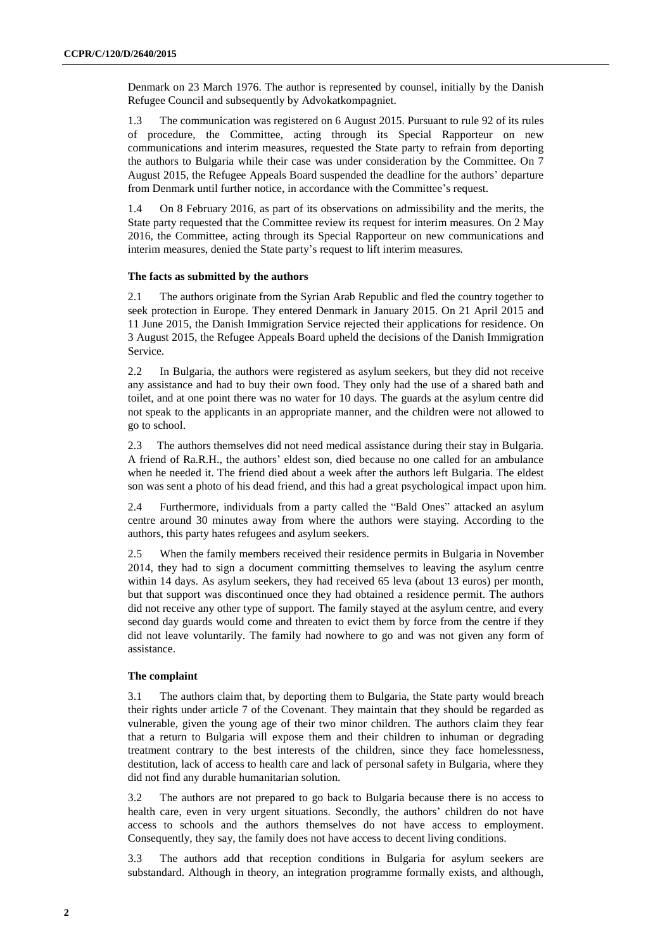Denmark on 23 March 1976. The author is represented by counsel, initially by the Danish Refugee Council and subsequently by Advokatkompagniet.

1.3 The communication was registered on 6 August 2015. Pursuant to rule 92 of its rules of procedure, the Committee, acting through its Special Rapporteur on new communications and interim measures, requested the State party to refrain from deporting the authors to Bulgaria while their case was under consideration by the Committee. On 7 August 2015, the Refugee Appeals Board suspended the deadline for the authors' departure from Denmark until further notice, in accordance with the Committee's request.

1.4 On 8 February 2016, as part of its observations on admissibility and the merits, the State party requested that the Committee review its request for interim measures. On 2 May 2016, the Committee, acting through its Special Rapporteur on new communications and interim measures, denied the State party's request to lift interim measures.

#### **The facts as submitted by the authors**

2.1 The authors originate from the Syrian Arab Republic and fled the country together to seek protection in Europe. They entered Denmark in January 2015. On 21 April 2015 and 11 June 2015, the Danish Immigration Service rejected their applications for residence. On 3 August 2015, the Refugee Appeals Board upheld the decisions of the Danish Immigration Service.

2.2 In Bulgaria, the authors were registered as asylum seekers, but they did not receive any assistance and had to buy their own food. They only had the use of a shared bath and toilet, and at one point there was no water for 10 days. The guards at the asylum centre did not speak to the applicants in an appropriate manner, and the children were not allowed to go to school.

2.3 The authors themselves did not need medical assistance during their stay in Bulgaria. A friend of Ra.R.H., the authors' eldest son, died because no one called for an ambulance when he needed it. The friend died about a week after the authors left Bulgaria. The eldest son was sent a photo of his dead friend, and this had a great psychological impact upon him.

2.4 Furthermore, individuals from a party called the "Bald Ones" attacked an asylum centre around 30 minutes away from where the authors were staying. According to the authors, this party hates refugees and asylum seekers.

2.5 When the family members received their residence permits in Bulgaria in November 2014, they had to sign a document committing themselves to leaving the asylum centre within 14 days. As asylum seekers, they had received 65 leva (about 13 euros) per month, but that support was discontinued once they had obtained a residence permit. The authors did not receive any other type of support. The family stayed at the asylum centre, and every second day guards would come and threaten to evict them by force from the centre if they did not leave voluntarily. The family had nowhere to go and was not given any form of assistance.

#### **The complaint**

3.1 The authors claim that, by deporting them to Bulgaria, the State party would breach their rights under article 7 of the Covenant. They maintain that they should be regarded as vulnerable, given the young age of their two minor children. The authors claim they fear that a return to Bulgaria will expose them and their children to inhuman or degrading treatment contrary to the best interests of the children, since they face homelessness, destitution, lack of access to health care and lack of personal safety in Bulgaria, where they did not find any durable humanitarian solution.

3.2 The authors are not prepared to go back to Bulgaria because there is no access to health care, even in very urgent situations. Secondly, the authors' children do not have access to schools and the authors themselves do not have access to employment. Consequently, they say, the family does not have access to decent living conditions.

3.3 The authors add that reception conditions in Bulgaria for asylum seekers are substandard. Although in theory, an integration programme formally exists, and although,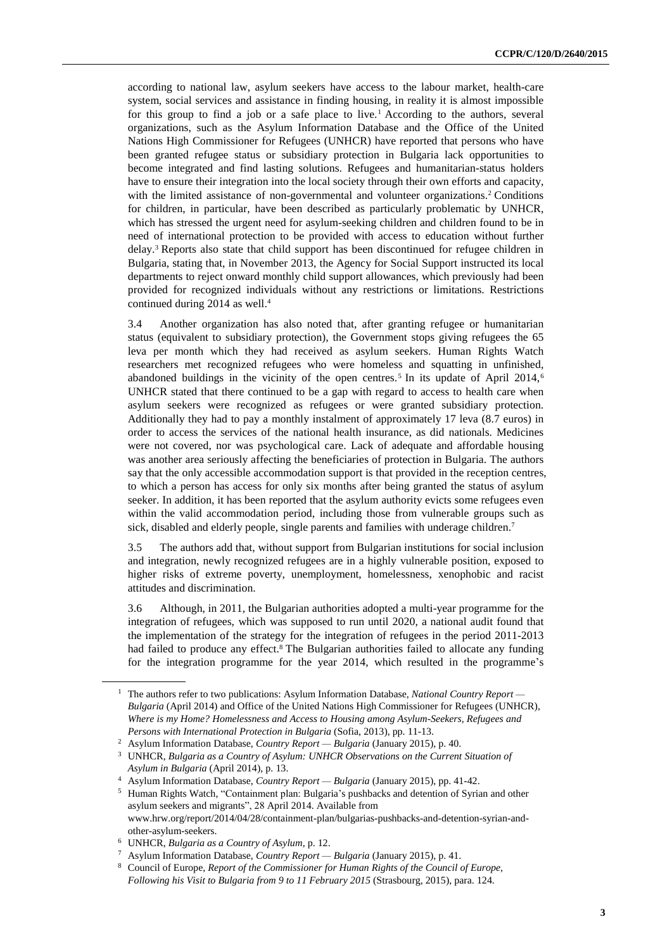according to national law, asylum seekers have access to the labour market, health-care system, social services and assistance in finding housing, in reality it is almost impossible for this group to find a job or a safe place to live.<sup>1</sup> According to the authors, several organizations, such as the Asylum Information Database and the Office of the United Nations High Commissioner for Refugees (UNHCR) have reported that persons who have been granted refugee status or subsidiary protection in Bulgaria lack opportunities to become integrated and find lasting solutions. Refugees and humanitarian-status holders have to ensure their integration into the local society through their own efforts and capacity, with the limited assistance of non-governmental and volunteer organizations.<sup>2</sup> Conditions for children, in particular, have been described as particularly problematic by UNHCR, which has stressed the urgent need for asylum-seeking children and children found to be in need of international protection to be provided with access to education without further delay.<sup>3</sup> Reports also state that child support has been discontinued for refugee children in Bulgaria, stating that, in November 2013, the Agency for Social Support instructed its local departments to reject onward monthly child support allowances, which previously had been provided for recognized individuals without any restrictions or limitations. Restrictions continued during 2014 as well.<sup>4</sup>

3.4 Another organization has also noted that, after granting refugee or humanitarian status (equivalent to subsidiary protection), the Government stops giving refugees the 65 leva per month which they had received as asylum seekers. Human Rights Watch researchers met recognized refugees who were homeless and squatting in unfinished, abandoned buildings in the vicinity of the open centres.<sup>5</sup> In its update of April 2014,<sup>6</sup> UNHCR stated that there continued to be a gap with regard to access to health care when asylum seekers were recognized as refugees or were granted subsidiary protection. Additionally they had to pay a monthly instalment of approximately 17 leva (8.7 euros) in order to access the services of the national health insurance, as did nationals. Medicines were not covered, nor was psychological care. Lack of adequate and affordable housing was another area seriously affecting the beneficiaries of protection in Bulgaria. The authors say that the only accessible accommodation support is that provided in the reception centres, to which a person has access for only six months after being granted the status of asylum seeker. In addition, it has been reported that the asylum authority evicts some refugees even within the valid accommodation period, including those from vulnerable groups such as sick, disabled and elderly people, single parents and families with underage children.<sup>7</sup>

3.5 The authors add that, without support from Bulgarian institutions for social inclusion and integration, newly recognized refugees are in a highly vulnerable position, exposed to higher risks of extreme poverty, unemployment, homelessness, xenophobic and racist attitudes and discrimination.

3.6 Although, in 2011, the Bulgarian authorities adopted a multi-year programme for the integration of refugees, which was supposed to run until 2020, a national audit found that the implementation of the strategy for the integration of refugees in the period 2011-2013 had failed to produce any effect.<sup>8</sup> The Bulgarian authorities failed to allocate any funding for the integration programme for the year 2014, which resulted in the programme's

<sup>1</sup> The authors refer to two publications: Asylum Information Database, *National Country Report — Bulgaria* (April 2014) and Office of the United Nations High Commissioner for Refugees (UNHCR), *Where is my Home? Homelessness and Access to Housing among Asylum-Seekers, Refugees and Persons with International Protection in Bulgaria* (Sofia, 2013), pp. 11-13.

<sup>2</sup> Asylum Information Database, *Country Report — Bulgaria* (January 2015), p. 40.

<sup>3</sup> UNHCR, *Bulgaria as a Country of Asylum: UNHCR Observations on the Current Situation of Asylum in Bulgaria* (April 2014), p. 13.

<sup>4</sup> Asylum Information Database, *Country Report — Bulgaria* (January 2015), pp. 41-42.

<sup>5</sup> Human Rights Watch, "Containment plan: Bulgaria's pushbacks and detention of Syrian and other asylum seekers and migrants", 28 April 2014. Available from www.hrw.org/report/2014/04/28/containment-plan/bulgarias-pushbacks-and-detention-syrian-andother-asylum-seekers.

<sup>6</sup> UNHCR, *Bulgaria as a Country of Asylum*, p. 12.

<sup>7</sup> Asylum Information Database, *Country Report — Bulgaria* (January 2015), p. 41.

<sup>8</sup> Council of Europe, *Report of the Commissioner for Human Rights of the Council of Europe, Following his Visit to Bulgaria from 9 to 11 February 2015* (Strasbourg, 2015), para. 124.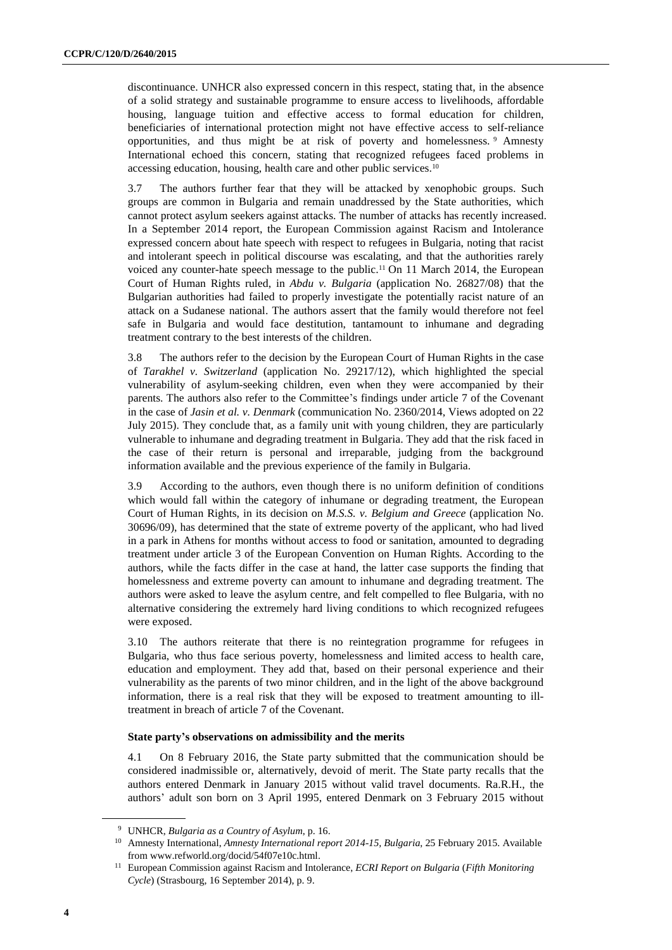discontinuance. UNHCR also expressed concern in this respect, stating that, in the absence of a solid strategy and sustainable programme to ensure access to livelihoods, affordable housing, language tuition and effective access to formal education for children, beneficiaries of international protection might not have effective access to self-reliance opportunities, and thus might be at risk of poverty and homelessness. <sup>9</sup> Amnesty International echoed this concern, stating that recognized refugees faced problems in accessing education, housing, health care and other public services.<sup>10</sup>

3.7 The authors further fear that they will be attacked by xenophobic groups. Such groups are common in Bulgaria and remain unaddressed by the State authorities, which cannot protect asylum seekers against attacks. The number of attacks has recently increased. In a September 2014 report, the European Commission against Racism and Intolerance expressed concern about hate speech with respect to refugees in Bulgaria, noting that racist and intolerant speech in political discourse was escalating, and that the authorities rarely voiced any counter-hate speech message to the public.<sup>11</sup> On 11 March 2014, the European Court of Human Rights ruled, in *Abdu v. Bulgaria* (application No. 26827/08) that the Bulgarian authorities had failed to properly investigate the potentially racist nature of an attack on a Sudanese national. The authors assert that the family would therefore not feel safe in Bulgaria and would face destitution, tantamount to inhumane and degrading treatment contrary to the best interests of the children.

3.8 The authors refer to the decision by the European Court of Human Rights in the case of *Tarakhel v. Switzerland* (application No. 29217/12), which highlighted the special vulnerability of asylum-seeking children, even when they were accompanied by their parents. The authors also refer to the Committee's findings under article 7 of the Covenant in the case of *Jasin et al. v. Denmark* (communication No. 2360/2014, Views adopted on 22 July 2015). They conclude that, as a family unit with young children, they are particularly vulnerable to inhumane and degrading treatment in Bulgaria. They add that the risk faced in the case of their return is personal and irreparable, judging from the background information available and the previous experience of the family in Bulgaria.

3.9 According to the authors, even though there is no uniform definition of conditions which would fall within the category of inhumane or degrading treatment, the European Court of Human Rights, in its decision on *M.S.S. v. Belgium and Greece* (application No. 30696/09), has determined that the state of extreme poverty of the applicant, who had lived in a park in Athens for months without access to food or sanitation, amounted to degrading treatment under article 3 of the European Convention on Human Rights. According to the authors, while the facts differ in the case at hand, the latter case supports the finding that homelessness and extreme poverty can amount to inhumane and degrading treatment. The authors were asked to leave the asylum centre, and felt compelled to flee Bulgaria, with no alternative considering the extremely hard living conditions to which recognized refugees were exposed.

3.10 The authors reiterate that there is no reintegration programme for refugees in Bulgaria, who thus face serious poverty, homelessness and limited access to health care, education and employment. They add that, based on their personal experience and their vulnerability as the parents of two minor children, and in the light of the above background information, there is a real risk that they will be exposed to treatment amounting to illtreatment in breach of article 7 of the Covenant.

#### **State party's observations on admissibility and the merits**

4.1 On 8 February 2016, the State party submitted that the communication should be considered inadmissible or, alternatively, devoid of merit. The State party recalls that the authors entered Denmark in January 2015 without valid travel documents. Ra.R.H., the authors' adult son born on 3 April 1995, entered Denmark on 3 February 2015 without

<sup>9</sup> UNHCR, *Bulgaria as a Country of Asylum*, p. 16.

<sup>10</sup> Amnesty International, *Amnesty International report 2014-15, Bulgaria*, 25 February 2015. Available from www.refworld.org/docid/54f07e10c.html.

<sup>11</sup> European Commission against Racism and Intolerance, *ECRI Report on Bulgaria* (*Fifth Monitoring Cycle*) (Strasbourg, 16 September 2014), p. 9.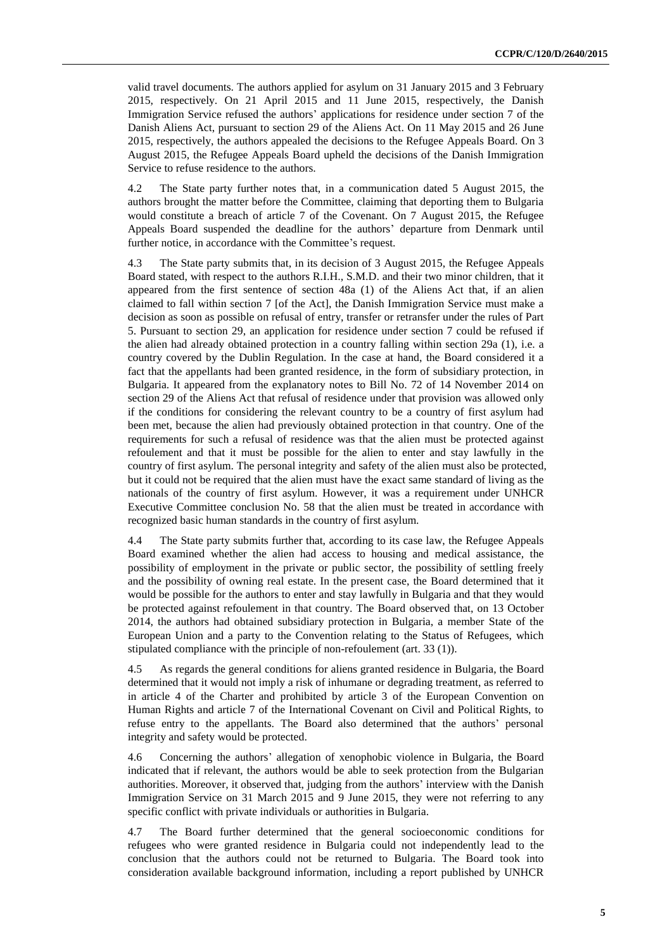valid travel documents. The authors applied for asylum on 31 January 2015 and 3 February 2015, respectively. On 21 April 2015 and 11 June 2015, respectively, the Danish Immigration Service refused the authors' applications for residence under section 7 of the Danish Aliens Act, pursuant to section 29 of the Aliens Act. On 11 May 2015 and 26 June 2015, respectively, the authors appealed the decisions to the Refugee Appeals Board. On 3 August 2015, the Refugee Appeals Board upheld the decisions of the Danish Immigration Service to refuse residence to the authors.

4.2 The State party further notes that, in a communication dated 5 August 2015, the authors brought the matter before the Committee, claiming that deporting them to Bulgaria would constitute a breach of article 7 of the Covenant. On 7 August 2015, the Refugee Appeals Board suspended the deadline for the authors' departure from Denmark until further notice, in accordance with the Committee's request.

4.3 The State party submits that, in its decision of 3 August 2015, the Refugee Appeals Board stated, with respect to the authors R.I.H., S.M.D. and their two minor children, that it appeared from the first sentence of section 48a (1) of the Aliens Act that, if an alien claimed to fall within section 7 [of the Act], the Danish Immigration Service must make a decision as soon as possible on refusal of entry, transfer or retransfer under the rules of Part 5. Pursuant to section 29, an application for residence under section 7 could be refused if the alien had already obtained protection in a country falling within section 29a (1), i.e. a country covered by the Dublin Regulation. In the case at hand, the Board considered it a fact that the appellants had been granted residence, in the form of subsidiary protection, in Bulgaria. It appeared from the explanatory notes to Bill No. 72 of 14 November 2014 on section 29 of the Aliens Act that refusal of residence under that provision was allowed only if the conditions for considering the relevant country to be a country of first asylum had been met, because the alien had previously obtained protection in that country. One of the requirements for such a refusal of residence was that the alien must be protected against refoulement and that it must be possible for the alien to enter and stay lawfully in the country of first asylum. The personal integrity and safety of the alien must also be protected, but it could not be required that the alien must have the exact same standard of living as the nationals of the country of first asylum. However, it was a requirement under UNHCR Executive Committee conclusion No. 58 that the alien must be treated in accordance with recognized basic human standards in the country of first asylum.

4.4 The State party submits further that, according to its case law, the Refugee Appeals Board examined whether the alien had access to housing and medical assistance, the possibility of employment in the private or public sector, the possibility of settling freely and the possibility of owning real estate. In the present case, the Board determined that it would be possible for the authors to enter and stay lawfully in Bulgaria and that they would be protected against refoulement in that country. The Board observed that, on 13 October 2014, the authors had obtained subsidiary protection in Bulgaria, a member State of the European Union and a party to the Convention relating to the Status of Refugees, which stipulated compliance with the principle of non-refoulement (art. 33 (1)).

4.5 As regards the general conditions for aliens granted residence in Bulgaria, the Board determined that it would not imply a risk of inhumane or degrading treatment, as referred to in article 4 of the Charter and prohibited by article 3 of the European Convention on Human Rights and article 7 of the International Covenant on Civil and Political Rights, to refuse entry to the appellants. The Board also determined that the authors' personal integrity and safety would be protected.

4.6 Concerning the authors' allegation of xenophobic violence in Bulgaria, the Board indicated that if relevant, the authors would be able to seek protection from the Bulgarian authorities. Moreover, it observed that, judging from the authors' interview with the Danish Immigration Service on 31 March 2015 and 9 June 2015, they were not referring to any specific conflict with private individuals or authorities in Bulgaria.

4.7 The Board further determined that the general socioeconomic conditions for refugees who were granted residence in Bulgaria could not independently lead to the conclusion that the authors could not be returned to Bulgaria. The Board took into consideration available background information, including a report published by UNHCR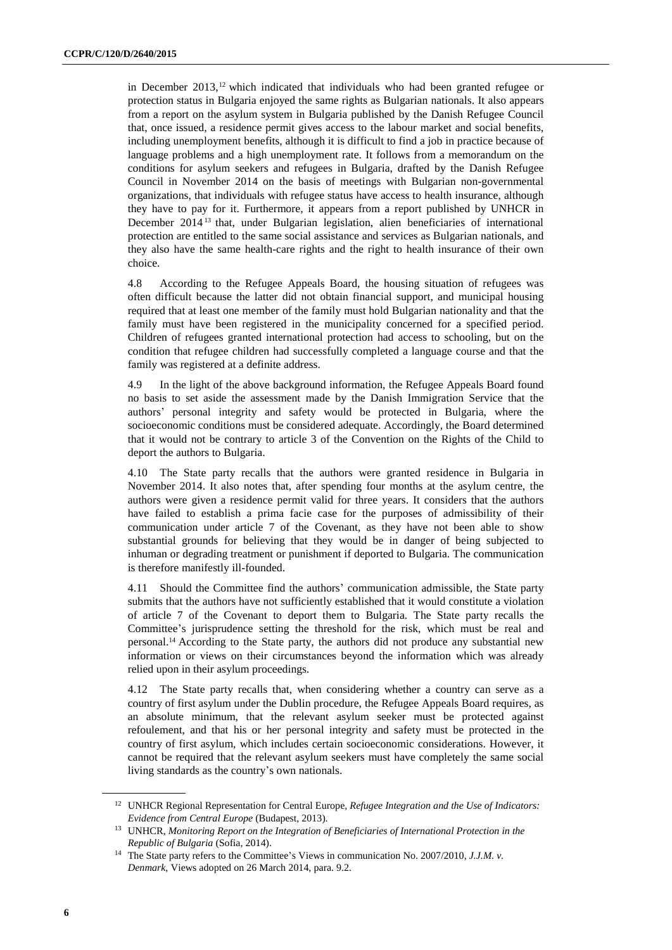in December 2013,<sup>12</sup> which indicated that individuals who had been granted refugee or protection status in Bulgaria enjoyed the same rights as Bulgarian nationals. It also appears from a report on the asylum system in Bulgaria published by the Danish Refugee Council that, once issued, a residence permit gives access to the labour market and social benefits, including unemployment benefits, although it is difficult to find a job in practice because of language problems and a high unemployment rate. It follows from a memorandum on the conditions for asylum seekers and refugees in Bulgaria, drafted by the Danish Refugee Council in November 2014 on the basis of meetings with Bulgarian non-governmental organizations, that individuals with refugee status have access to health insurance, although they have to pay for it. Furthermore, it appears from a report published by UNHCR in December 2014 <sup>13</sup> that, under Bulgarian legislation, alien beneficiaries of international protection are entitled to the same social assistance and services as Bulgarian nationals, and they also have the same health-care rights and the right to health insurance of their own choice.

4.8 According to the Refugee Appeals Board, the housing situation of refugees was often difficult because the latter did not obtain financial support, and municipal housing required that at least one member of the family must hold Bulgarian nationality and that the family must have been registered in the municipality concerned for a specified period. Children of refugees granted international protection had access to schooling, but on the condition that refugee children had successfully completed a language course and that the family was registered at a definite address.

4.9 In the light of the above background information, the Refugee Appeals Board found no basis to set aside the assessment made by the Danish Immigration Service that the authors' personal integrity and safety would be protected in Bulgaria, where the socioeconomic conditions must be considered adequate. Accordingly, the Board determined that it would not be contrary to article 3 of the Convention on the Rights of the Child to deport the authors to Bulgaria.

4.10 The State party recalls that the authors were granted residence in Bulgaria in November 2014. It also notes that, after spending four months at the asylum centre, the authors were given a residence permit valid for three years. It considers that the authors have failed to establish a prima facie case for the purposes of admissibility of their communication under article 7 of the Covenant, as they have not been able to show substantial grounds for believing that they would be in danger of being subjected to inhuman or degrading treatment or punishment if deported to Bulgaria. The communication is therefore manifestly ill-founded.

4.11 Should the Committee find the authors' communication admissible, the State party submits that the authors have not sufficiently established that it would constitute a violation of article 7 of the Covenant to deport them to Bulgaria. The State party recalls the Committee's jurisprudence setting the threshold for the risk, which must be real and personal.<sup>14</sup> According to the State party, the authors did not produce any substantial new information or views on their circumstances beyond the information which was already relied upon in their asylum proceedings.

4.12 The State party recalls that, when considering whether a country can serve as a country of first asylum under the Dublin procedure, the Refugee Appeals Board requires, as an absolute minimum, that the relevant asylum seeker must be protected against refoulement, and that his or her personal integrity and safety must be protected in the country of first asylum, which includes certain socioeconomic considerations. However, it cannot be required that the relevant asylum seekers must have completely the same social living standards as the country's own nationals.

<sup>12</sup> UNHCR Regional Representation for Central Europe, *Refugee Integration and the Use of Indicators: Evidence from Central Europe* (Budapest, 2013).

<sup>13</sup> UNHCR, *Monitoring Report on the Integration of Beneficiaries of International Protection in the Republic of Bulgaria* (Sofia, 2014).

<sup>14</sup> The State party refers to the Committee's Views in communication No. 2007/2010, *J.J.M. v. Denmark*, Views adopted on 26 March 2014, para. 9.2.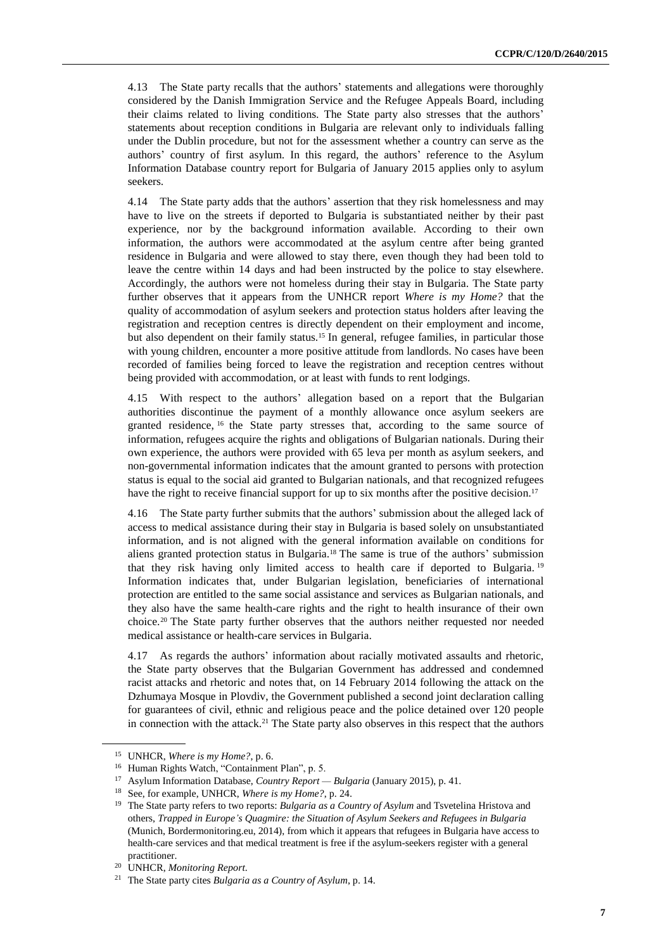4.13 The State party recalls that the authors' statements and allegations were thoroughly considered by the Danish Immigration Service and the Refugee Appeals Board, including their claims related to living conditions. The State party also stresses that the authors' statements about reception conditions in Bulgaria are relevant only to individuals falling under the Dublin procedure, but not for the assessment whether a country can serve as the authors' country of first asylum. In this regard, the authors' reference to the Asylum Information Database country report for Bulgaria of January 2015 applies only to asylum seekers.

4.14 The State party adds that the authors' assertion that they risk homelessness and may have to live on the streets if deported to Bulgaria is substantiated neither by their past experience, nor by the background information available. According to their own information, the authors were accommodated at the asylum centre after being granted residence in Bulgaria and were allowed to stay there, even though they had been told to leave the centre within 14 days and had been instructed by the police to stay elsewhere. Accordingly, the authors were not homeless during their stay in Bulgaria. The State party further observes that it appears from the UNHCR report *Where is my Home?* that the quality of accommodation of asylum seekers and protection status holders after leaving the registration and reception centres is directly dependent on their employment and income, but also dependent on their family status.<sup>15</sup> In general, refugee families, in particular those with young children, encounter a more positive attitude from landlords. No cases have been recorded of families being forced to leave the registration and reception centres without being provided with accommodation, or at least with funds to rent lodgings.

4.15 With respect to the authors' allegation based on a report that the Bulgarian authorities discontinue the payment of a monthly allowance once asylum seekers are granted residence, <sup>16</sup> the State party stresses that, according to the same source of information, refugees acquire the rights and obligations of Bulgarian nationals. During their own experience, the authors were provided with 65 leva per month as asylum seekers, and non-governmental information indicates that the amount granted to persons with protection status is equal to the social aid granted to Bulgarian nationals, and that recognized refugees have the right to receive financial support for up to six months after the positive decision.<sup>17</sup>

4.16 The State party further submits that the authors' submission about the alleged lack of access to medical assistance during their stay in Bulgaria is based solely on unsubstantiated information, and is not aligned with the general information available on conditions for aliens granted protection status in Bulgaria.<sup>18</sup> The same is true of the authors' submission that they risk having only limited access to health care if deported to Bulgaria. <sup>19</sup> Information indicates that, under Bulgarian legislation, beneficiaries of international protection are entitled to the same social assistance and services as Bulgarian nationals, and they also have the same health-care rights and the right to health insurance of their own choice.<sup>20</sup> The State party further observes that the authors neither requested nor needed medical assistance or health-care services in Bulgaria.

4.17 As regards the authors' information about racially motivated assaults and rhetoric, the State party observes that the Bulgarian Government has addressed and condemned racist attacks and rhetoric and notes that, on 14 February 2014 following the attack on the Dzhumaya Mosque in Plovdiv, the Government published a second joint declaration calling for guarantees of civil, ethnic and religious peace and the police detained over 120 people in connection with the attack.<sup>21</sup> The State party also observes in this respect that the authors

<sup>15</sup> UNHCR, *Where is my Home?*, p. 6.

<sup>16</sup> Human Rights Watch, "Containment Plan", p. 5.

<sup>17</sup> Asylum Information Database, *Country Report — Bulgaria* (January 2015), p. 41.

<sup>18</sup> See, for example, UNHCR, *Where is my Home?*, p. 24.

<sup>19</sup> The State party refers to two reports: *Bulgaria as a Country of Asylum* and Tsvetelina Hristova and others, *Trapped in Europe's Quagmire: the Situation of Asylum Seekers and Refugees in Bulgaria* (Munich, Bordermonitoring.eu, 2014), from which it appears that refugees in Bulgaria have access to health-care services and that medical treatment is free if the asylum-seekers register with a general practitioner.

<sup>20</sup> UNHCR, *Monitoring Report*.

<sup>21</sup> The State party cites *Bulgaria as a Country of Asylum*, p. 14.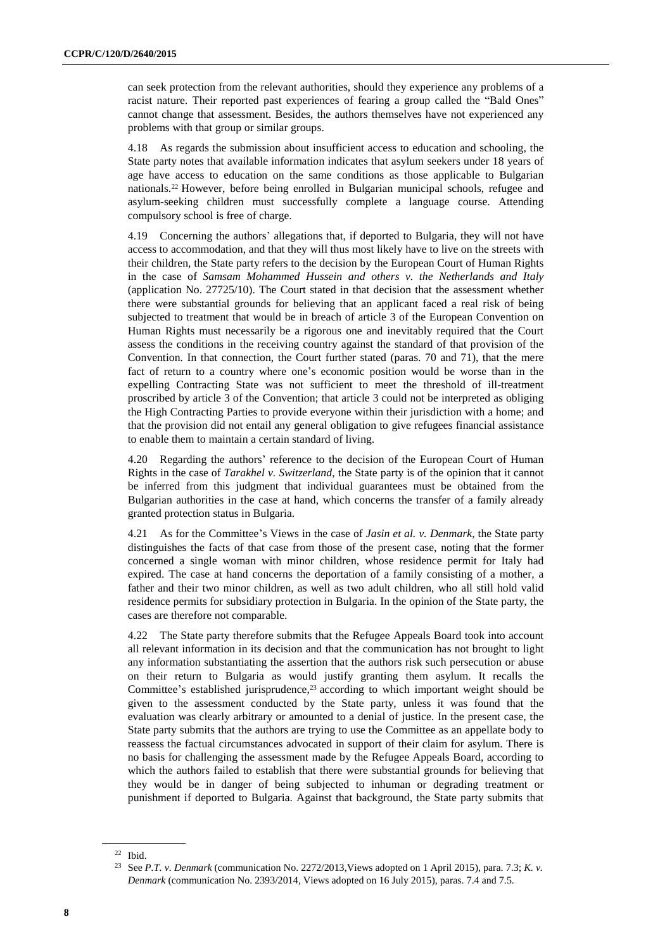can seek protection from the relevant authorities, should they experience any problems of a racist nature. Their reported past experiences of fearing a group called the "Bald Ones" cannot change that assessment. Besides, the authors themselves have not experienced any problems with that group or similar groups.

4.18 As regards the submission about insufficient access to education and schooling, the State party notes that available information indicates that asylum seekers under 18 years of age have access to education on the same conditions as those applicable to Bulgarian nationals.<sup>22</sup> However, before being enrolled in Bulgarian municipal schools, refugee and asylum-seeking children must successfully complete a language course. Attending compulsory school is free of charge.

4.19 Concerning the authors' allegations that, if deported to Bulgaria, they will not have access to accommodation, and that they will thus most likely have to live on the streets with their children, the State party refers to the decision by the European Court of Human Rights in the case of *Samsam Mohammed Hussein and others v. the Netherlands and Italy* (application No. 27725/10). The Court stated in that decision that the assessment whether there were substantial grounds for believing that an applicant faced a real risk of being subjected to treatment that would be in breach of article 3 of the European Convention on Human Rights must necessarily be a rigorous one and inevitably required that the Court assess the conditions in the receiving country against the standard of that provision of the Convention. In that connection, the Court further stated (paras. 70 and 71), that the mere fact of return to a country where one's economic position would be worse than in the expelling Contracting State was not sufficient to meet the threshold of ill-treatment proscribed by article 3 of the Convention; that article 3 could not be interpreted as obliging the High Contracting Parties to provide everyone within their jurisdiction with a home; and that the provision did not entail any general obligation to give refugees financial assistance to enable them to maintain a certain standard of living.

4.20 Regarding the authors' reference to the decision of the European Court of Human Rights in the case of *Tarakhel v. Switzerland*, the State party is of the opinion that it cannot be inferred from this judgment that individual guarantees must be obtained from the Bulgarian authorities in the case at hand, which concerns the transfer of a family already granted protection status in Bulgaria.

4.21 As for the Committee's Views in the case of *Jasin et al. v. Denmark*, the State party distinguishes the facts of that case from those of the present case, noting that the former concerned a single woman with minor children, whose residence permit for Italy had expired. The case at hand concerns the deportation of a family consisting of a mother, a father and their two minor children, as well as two adult children, who all still hold valid residence permits for subsidiary protection in Bulgaria. In the opinion of the State party, the cases are therefore not comparable.

4.22 The State party therefore submits that the Refugee Appeals Board took into account all relevant information in its decision and that the communication has not brought to light any information substantiating the assertion that the authors risk such persecution or abuse on their return to Bulgaria as would justify granting them asylum. It recalls the Committee's established jurisprudence, $23$  according to which important weight should be given to the assessment conducted by the State party, unless it was found that the evaluation was clearly arbitrary or amounted to a denial of justice. In the present case, the State party submits that the authors are trying to use the Committee as an appellate body to reassess the factual circumstances advocated in support of their claim for asylum. There is no basis for challenging the assessment made by the Refugee Appeals Board, according to which the authors failed to establish that there were substantial grounds for believing that they would be in danger of being subjected to inhuman or degrading treatment or punishment if deported to Bulgaria. Against that background, the State party submits that

<sup>22</sup> Ibid.

<sup>23</sup> See *P.T. v. Denmark* (communication No. 2272/2013,Views adopted on 1 April 2015), para. 7.3; *K. v. Denmark* (communication No. 2393/2014, Views adopted on 16 July 2015), paras. 7.4 and 7.5.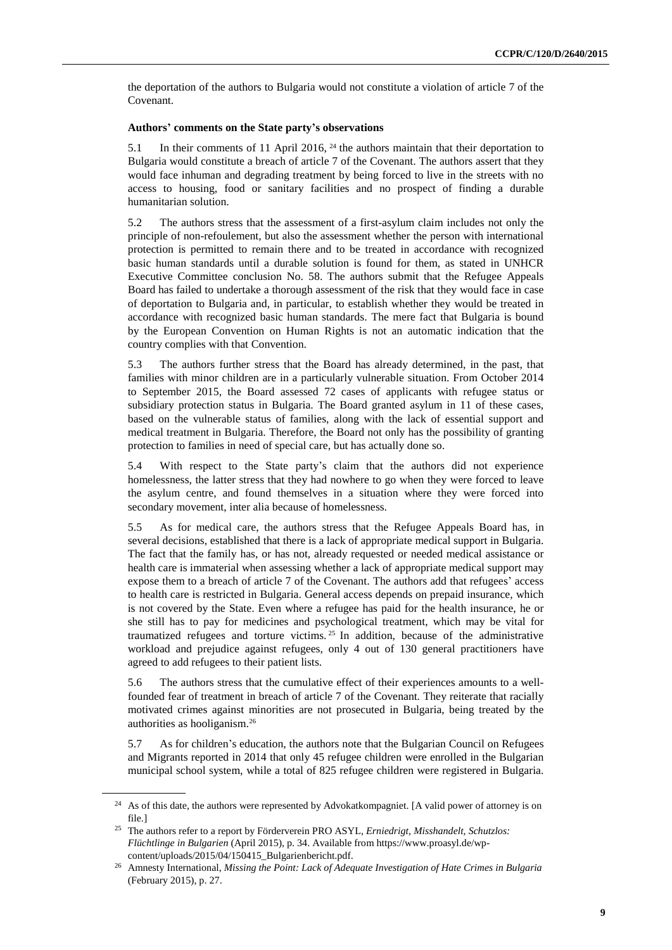the deportation of the authors to Bulgaria would not constitute a violation of article 7 of the Covenant.

#### **Authors' comments on the State party's observations**

5.1 In their comments of 11 April 2016, <sup>24</sup> the authors maintain that their deportation to Bulgaria would constitute a breach of article 7 of the Covenant. The authors assert that they would face inhuman and degrading treatment by being forced to live in the streets with no access to housing, food or sanitary facilities and no prospect of finding a durable humanitarian solution.

5.2 The authors stress that the assessment of a first-asylum claim includes not only the principle of non-refoulement, but also the assessment whether the person with international protection is permitted to remain there and to be treated in accordance with recognized basic human standards until a durable solution is found for them, as stated in UNHCR Executive Committee conclusion No. 58. The authors submit that the Refugee Appeals Board has failed to undertake a thorough assessment of the risk that they would face in case of deportation to Bulgaria and, in particular, to establish whether they would be treated in accordance with recognized basic human standards. The mere fact that Bulgaria is bound by the European Convention on Human Rights is not an automatic indication that the country complies with that Convention.

5.3 The authors further stress that the Board has already determined, in the past, that families with minor children are in a particularly vulnerable situation. From October 2014 to September 2015, the Board assessed 72 cases of applicants with refugee status or subsidiary protection status in Bulgaria. The Board granted asylum in 11 of these cases, based on the vulnerable status of families, along with the lack of essential support and medical treatment in Bulgaria. Therefore, the Board not only has the possibility of granting protection to families in need of special care, but has actually done so.

5.4 With respect to the State party's claim that the authors did not experience homelessness, the latter stress that they had nowhere to go when they were forced to leave the asylum centre, and found themselves in a situation where they were forced into secondary movement, inter alia because of homelessness.

5.5 As for medical care, the authors stress that the Refugee Appeals Board has, in several decisions, established that there is a lack of appropriate medical support in Bulgaria. The fact that the family has, or has not, already requested or needed medical assistance or health care is immaterial when assessing whether a lack of appropriate medical support may expose them to a breach of article 7 of the Covenant. The authors add that refugees' access to health care is restricted in Bulgaria. General access depends on prepaid insurance, which is not covered by the State. Even where a refugee has paid for the health insurance, he or she still has to pay for medicines and psychological treatment, which may be vital for traumatized refugees and torture victims. <sup>25</sup> In addition, because of the administrative workload and prejudice against refugees, only 4 out of 130 general practitioners have agreed to add refugees to their patient lists.

5.6 The authors stress that the cumulative effect of their experiences amounts to a wellfounded fear of treatment in breach of article 7 of the Covenant. They reiterate that racially motivated crimes against minorities are not prosecuted in Bulgaria, being treated by the authorities as hooliganism.<sup>26</sup>

5.7 As for children's education, the authors note that the Bulgarian Council on Refugees and Migrants reported in 2014 that only 45 refugee children were enrolled in the Bulgarian municipal school system, while a total of 825 refugee children were registered in Bulgaria.

<sup>&</sup>lt;sup>24</sup> As of this date, the authors were represented by Advokatkompagniet. [A valid power of attorney is on file.]

<sup>25</sup> The authors refer to a report by Förderverein PRO ASYL, *Erniedrigt, Misshandelt, Schutzlos: Flüchtlinge in Bulgarien* (April 2015), p. 34. Available from https://www.proasyl.de/wpcontent/uploads/2015/04/150415\_Bulgarienbericht.pdf.

<sup>26</sup> Amnesty International, *Missing the Point: Lack of Adequate Investigation of Hate Crimes in Bulgaria* (February 2015), p. 27.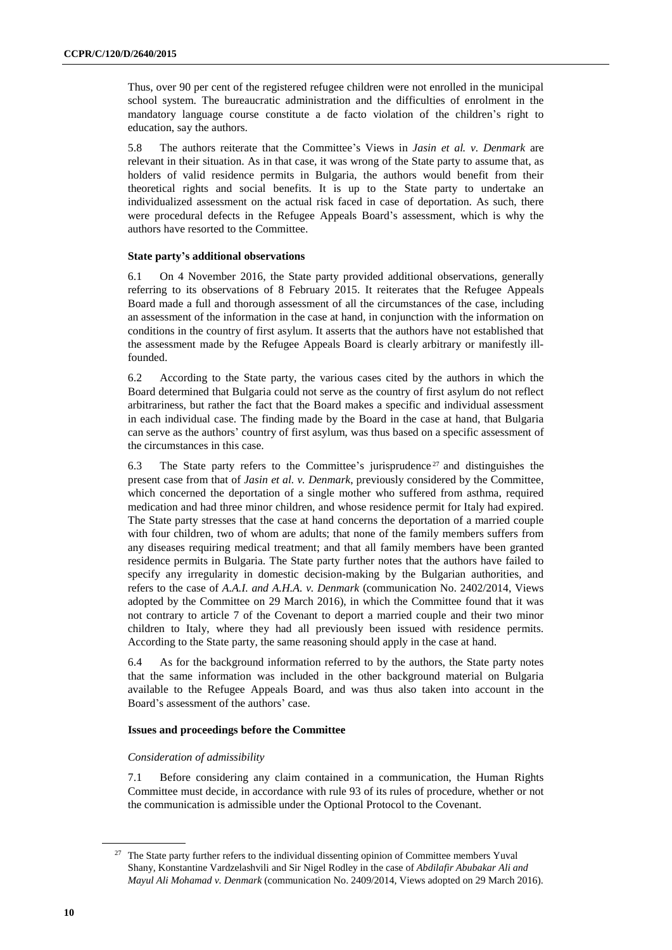Thus, over 90 per cent of the registered refugee children were not enrolled in the municipal school system. The bureaucratic administration and the difficulties of enrolment in the mandatory language course constitute a de facto violation of the children's right to education, say the authors.

5.8 The authors reiterate that the Committee's Views in *Jasin et al. v. Denmark* are relevant in their situation. As in that case, it was wrong of the State party to assume that, as holders of valid residence permits in Bulgaria, the authors would benefit from their theoretical rights and social benefits. It is up to the State party to undertake an individualized assessment on the actual risk faced in case of deportation. As such, there were procedural defects in the Refugee Appeals Board's assessment, which is why the authors have resorted to the Committee.

#### **State party's additional observations**

6.1 On 4 November 2016, the State party provided additional observations, generally referring to its observations of 8 February 2015. It reiterates that the Refugee Appeals Board made a full and thorough assessment of all the circumstances of the case, including an assessment of the information in the case at hand, in conjunction with the information on conditions in the country of first asylum. It asserts that the authors have not established that the assessment made by the Refugee Appeals Board is clearly arbitrary or manifestly illfounded.

6.2 According to the State party, the various cases cited by the authors in which the Board determined that Bulgaria could not serve as the country of first asylum do not reflect arbitrariness, but rather the fact that the Board makes a specific and individual assessment in each individual case. The finding made by the Board in the case at hand, that Bulgaria can serve as the authors' country of first asylum, was thus based on a specific assessment of the circumstances in this case.

6.3 The State party refers to the Committee's jurisprudence<sup>27</sup> and distinguishes the present case from that of *Jasin et al. v. Denmark*, previously considered by the Committee, which concerned the deportation of a single mother who suffered from asthma, required medication and had three minor children, and whose residence permit for Italy had expired. The State party stresses that the case at hand concerns the deportation of a married couple with four children, two of whom are adults; that none of the family members suffers from any diseases requiring medical treatment; and that all family members have been granted residence permits in Bulgaria. The State party further notes that the authors have failed to specify any irregularity in domestic decision-making by the Bulgarian authorities, and refers to the case of *A.A.I. and A.H.A. v. Denmark* (communication No. 2402/2014, Views adopted by the Committee on 29 March 2016), in which the Committee found that it was not contrary to article 7 of the Covenant to deport a married couple and their two minor children to Italy, where they had all previously been issued with residence permits. According to the State party, the same reasoning should apply in the case at hand.

6.4 As for the background information referred to by the authors, the State party notes that the same information was included in the other background material on Bulgaria available to the Refugee Appeals Board, and was thus also taken into account in the Board's assessment of the authors' case.

#### **Issues and proceedings before the Committee**

#### *Consideration of admissibility*

7.1 Before considering any claim contained in a communication, the Human Rights Committee must decide, in accordance with rule 93 of its rules of procedure, whether or not the communication is admissible under the Optional Protocol to the Covenant.

<sup>&</sup>lt;sup>27</sup> The State party further refers to the individual dissenting opinion of Committee members Yuval Shany, Konstantine Vardzelashvili and Sir Nigel Rodley in the case of *Abdilafir Abubakar Ali and Mayul Ali Mohamad v. Denmark* (communication No. 2409/2014, Views adopted on 29 March 2016).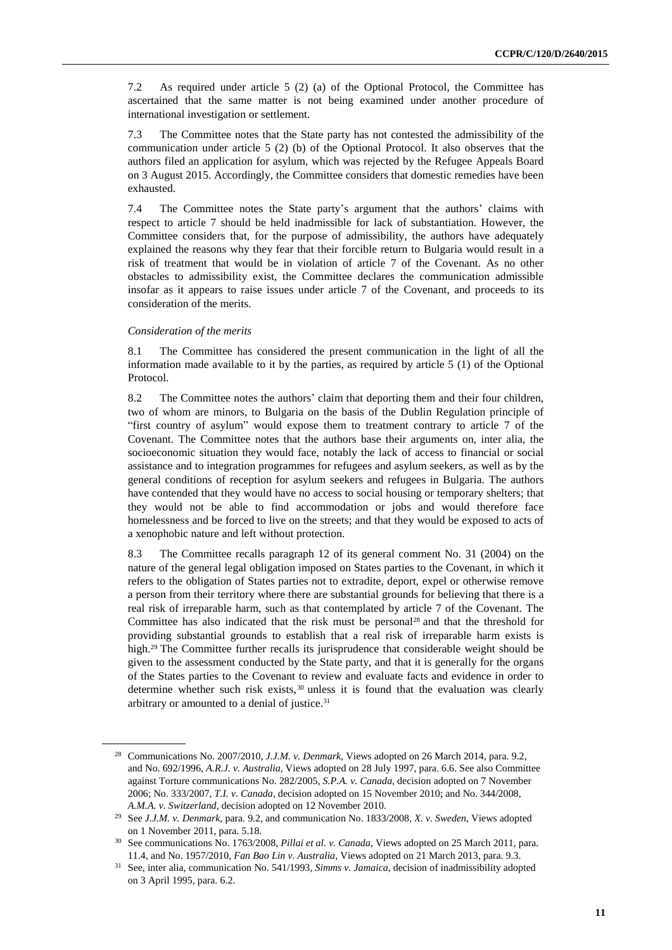7.2 As required under article 5 (2) (a) of the Optional Protocol, the Committee has ascertained that the same matter is not being examined under another procedure of international investigation or settlement.

7.3 The Committee notes that the State party has not contested the admissibility of the communication under article 5 (2) (b) of the Optional Protocol. It also observes that the authors filed an application for asylum, which was rejected by the Refugee Appeals Board on 3 August 2015. Accordingly, the Committee considers that domestic remedies have been exhausted.

7.4 The Committee notes the State party's argument that the authors' claims with respect to article 7 should be held inadmissible for lack of substantiation. However, the Committee considers that, for the purpose of admissibility, the authors have adequately explained the reasons why they fear that their forcible return to Bulgaria would result in a risk of treatment that would be in violation of article 7 of the Covenant. As no other obstacles to admissibility exist, the Committee declares the communication admissible insofar as it appears to raise issues under article 7 of the Covenant, and proceeds to its consideration of the merits.

#### *Consideration of the merits*

8.1 The Committee has considered the present communication in the light of all the information made available to it by the parties, as required by article 5 (1) of the Optional Protocol.

8.2 The Committee notes the authors' claim that deporting them and their four children, two of whom are minors, to Bulgaria on the basis of the Dublin Regulation principle of "first country of asylum" would expose them to treatment contrary to article 7 of the Covenant. The Committee notes that the authors base their arguments on, inter alia, the socioeconomic situation they would face, notably the lack of access to financial or social assistance and to integration programmes for refugees and asylum seekers, as well as by the general conditions of reception for asylum seekers and refugees in Bulgaria. The authors have contended that they would have no access to social housing or temporary shelters; that they would not be able to find accommodation or jobs and would therefore face homelessness and be forced to live on the streets; and that they would be exposed to acts of a xenophobic nature and left without protection.

8.3 The Committee recalls paragraph 12 of its general comment No. 31 (2004) on the nature of the general legal obligation imposed on States parties to the Covenant, in which it refers to the obligation of States parties not to extradite, deport, expel or otherwise remove a person from their territory where there are substantial grounds for believing that there is a real risk of irreparable harm, such as that contemplated by article 7 of the Covenant. The Committee has also indicated that the risk must be personal<sup>28</sup> and that the threshold for providing substantial grounds to establish that a real risk of irreparable harm exists is high.<sup>29</sup> The Committee further recalls its jurisprudence that considerable weight should be given to the assessment conducted by the State party, and that it is generally for the organs of the States parties to the Covenant to review and evaluate facts and evidence in order to determine whether such risk exists,<sup>30</sup> unless it is found that the evaluation was clearly arbitrary or amounted to a denial of justice.<sup>31</sup>

<sup>28</sup> Communications No. 2007/2010, *J.J.M. v. Denmark*, Views adopted on 26 March 2014, para. 9.2, and No. 692/1996, *A.R.J. v. Australia,* Views adopted on 28 July 1997, para. 6.6. See also Committee against Torture communications No. 282/2005, *S.P.A. v. Canada*, decision adopted on 7 November 2006; No. 333/2007, *T.I. v. Canada*, decision adopted on 15 November 2010; and No. 344/2008, *A.M.A. v. Switzerland*, decision adopted on 12 November 2010.

<sup>29</sup> See *J.J.M. v. Denmark*, para. 9.2, and communication No. 1833/2008*, X. v. Sweden*, Views adopted on 1 November 2011, para. 5.18.

<sup>30</sup> See communications No. 1763/2008, *Pillai et al. v. Canada*, Views adopted on 25 March 2011, para. 11.4, and No. 1957/2010, *Fan Bao Lin v. Australia*, Views adopted on 21 March 2013, para. 9.3.

<sup>31</sup> See, inter alia, communication No. 541/1993, *Simms v. Jamaica*, decision of inadmissibility adopted on 3 April 1995, para. 6.2.